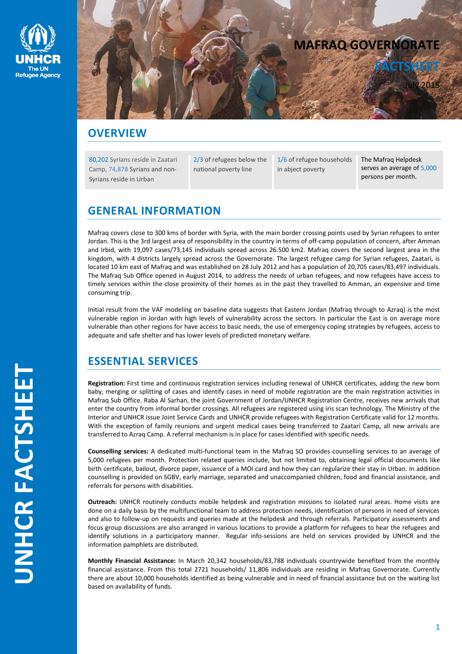



## **OVERVIEW**

80,202 Syrians reside in Zaatari Camp, 74,878 Syrians and non-Syrians reside in Urban

2/3 of refugees below the national poverty line

1/6 of refugee households in abject poverty

The Mafraq Helpdesk serves an average of 5,000 persons per month.

# **GENERAL INFORMATION**

Mafraq covers close to 300 kms of border with Syria, with the main border crossing points used by Syrian refugees to enter Jordan. This is the 3rd largest area of responsibility in the country in terms of off-camp population of concern, after Amman and Irbid, with 19,097 cases/73,145 individuals spread across 26.500 km2. Mafraq covers the second largest area in the kingdom, with 4 districts largely spread across the Governorate. The largest refugee camp for Syrian refugees, Zaatari, is located 10 km east of Mafraq and was established on 28 July 2012 and has a population of 20,705 cases/83,497 individuals. The Mafraq Sub Office opened in August 2014, to address the needs of urban refugees, and now refugees have access to timely services within the close proximity of their homes as in the past they travelled to Amman, an expensive and time consuming trip.

Initial result from the VAF modeling on baseline data suggests that Eastern Jordan (Mafraq through to Azraq) is the most vulnerable region in Jordan with high levels of vulnerability across the sectors. In particular the East is on average more vulnerable than other regions for have access to basic needs, the use of emergency coping strategies by refugees, access to adequate and safe shelter and has lower levels of predicted monetary welfare.

# **ESSENTIAL SERVICES**

**Registration:** First time and continuous registration services including renewal of UNHCR certificates, adding the new born baby, merging or splitting of cases and identify cases in need of mobile registration are the main registration activities in Mafraq Sub Office. Raba Al Sarhan, the joint Government of Jordan/UNHCR Registration Centre, receives new arrivals that enter the country from informal border crossings. All refugees are registered using iris scan technology. The Ministry of the Interior and UNHCR issue Joint Service Cards and UNHCR provide refugees with Registration Certificate valid for 12 months. With the exception of family reunions and urgent medical cases being transferred to Zaatari Camp, all new arrivals are transferred to Azraq Camp. A referral mechanism is in place for cases identified with specific needs.

**Counselling services:** A dedicated multi-functional team in the Mafraq SO provides counselling services to an average of 5,000 refugees per month. Protection related queries include, but not limited to, obtaining legal official documents like birth certificate, bailout, divorce paper, issuance of a MOI card and how they can regularize their stay in Urban. In addition counselling is provided on SGBV, early marriage, separated and unaccompanied children, food and financial assistance, and referrals for persons with disabilities.

**Outreach:** UNHCR routinely conducts mobile helpdesk and registration missions to isolated rural areas. Home visits are done on a daily basis by the multifunctional team to address protection needs, identification of persons in need of services and also to follow-up on requests and queries made at the helpdesk and through referrals. Participatory assessments and focus group discussions are also arranged in various locations to provide a platform for refugees to hear the refugees and identify solutions in a participatory manner. Regular info-sessions are held on services provided by UNHCR and the information pamphlets are distributed.

**Monthly Financial Assistance:** In March 20,342 households/83,788 individuals countrywide benefited from the monthly financial assistance. From this total 2721 households/ 11,806 individuals are residing in Mafraq Governorate. Currently there are about 10,000 households identified as being vulnerable and in need of financial assistance but on the waiting list based on availability of funds.